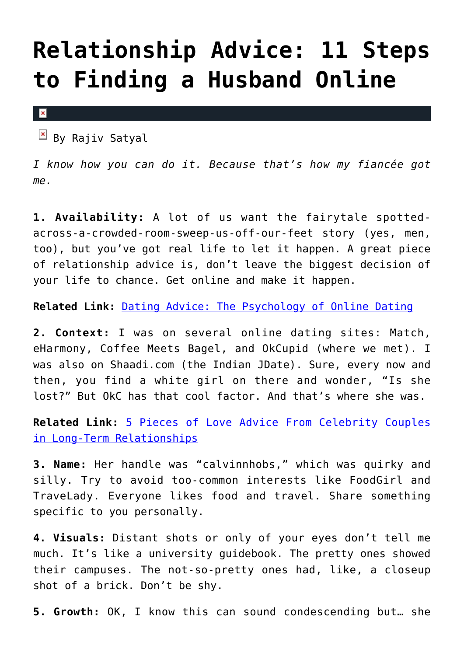## **[Relationship Advice: 11 Steps](https://cupidspulse.com/92364/relationship-advice-11-steps-to-finding-a-husband-online/) [to Finding a Husband Online](https://cupidspulse.com/92364/relationship-advice-11-steps-to-finding-a-husband-online/)**

 $\vert x \vert$ 

 $\mathbb{E}$  By Rajiv Satyal

*I know how you can do it. Because that's how my fiancée got me.*

**1. Availability:** A lot of us want the fairytale spottedacross-a-crowded-room-sweep-us-off-our-feet story (yes, men, too), but you've got real life to let it happen. A great piece of relationship advice is, don't leave the biggest decision of your life to chance. Get online and make it happen.

**Related Link:** [Dating Advice: The Psychology of Online Dating](http://cupidspulse.com/90689/dating-advice-the-psychology-of-online-dating/)

**2. Context:** I was on several online dating sites: Match, eHarmony, Coffee Meets Bagel, and OkCupid (where we met). I was also on Shaadi.com (the Indian JDate). Sure, every now and then, you find a white girl on there and wonder, "Is she lost?" But OkC has that cool factor. And that's where she was.

**Related Link:** [5 Pieces of Love Advice From Celebrity Couples](http://cupidspulse.com/90473/love-advice-celebrity-couples-long-term-relationships-and-love/) [in Long-Term Relationships](http://cupidspulse.com/90473/love-advice-celebrity-couples-long-term-relationships-and-love/)

**3. Name:** Her handle was "calvinnhobs," which was quirky and silly. Try to avoid too-common interests like FoodGirl and TraveLady. Everyone likes food and travel. Share something specific to you personally.

**4. Visuals:** Distant shots or only of your eyes don't tell me much. It's like a university guidebook. The pretty ones showed their campuses. The not-so-pretty ones had, like, a closeup shot of a brick. Don't be shy.

**5. Growth:** OK, I know this can sound condescending but… she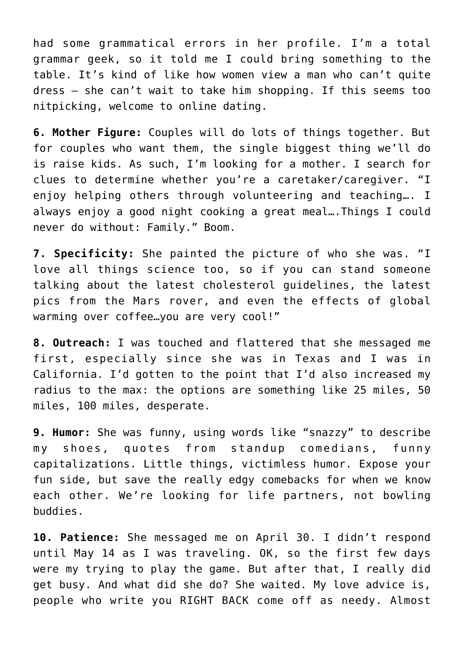had some grammatical errors in her profile. I'm a total grammar geek, so it told me I could bring something to the table. It's kind of like how women view a man who can't quite dress – she can't wait to take him shopping. If this seems too nitpicking, welcome to online dating.

**6. Mother Figure:** Couples will do lots of things together. But for couples who want them, the single biggest thing we'll do is raise kids. As such, I'm looking for a mother. I search for clues to determine whether you're a caretaker/caregiver. "I enjoy helping others through volunteering and teaching…. I always enjoy a good night cooking a great meal….Things I could never do without: Family." Boom.

**7. Specificity:** She painted the picture of who she was. "I love all things science too, so if you can stand someone talking about the latest cholesterol guidelines, the latest pics from the Mars rover, and even the effects of global warming over coffee…you are very cool!"

**8. Outreach:** I was touched and flattered that she messaged me first, especially since she was in Texas and I was in California. I'd gotten to the point that I'd also increased my radius to the max: the options are something like 25 miles, 50 miles, 100 miles, desperate.

**9. Humor:** She was funny, using words like "snazzy" to describe my shoes, quotes from standup comedians, funny capitalizations. Little things, victimless humor. Expose your fun side, but save the really edgy comebacks for when we know each other. We're looking for life partners, not bowling buddies.

**10. Patience:** She messaged me on April 30. I didn't respond until May 14 as I was traveling. OK, so the first few days were my trying to play the game. But after that, I really did get busy. And what did she do? She waited. My love advice is, people who write you RIGHT BACK come off as needy. Almost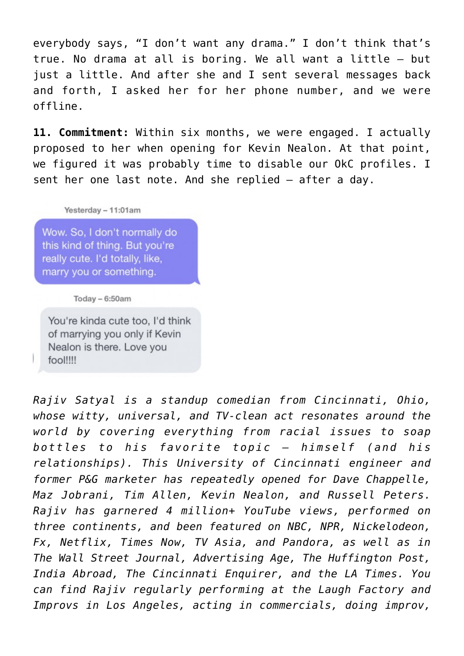everybody says, "I don't want any drama." I don't think that's true. No drama at all is boring. We all want a little – but just a little. And after she and I sent several messages back and forth, I asked her for her phone number, and we were offline.

**11. Commitment:** Within six months, we were engaged. I actually proposed to her when opening for Kevin Nealon. At that point, we figured it was probably time to disable our OkC profiles. I sent her one last note. And she replied – after a day.

## Yesterday - 11:01am

Wow. So. I don't normally do this kind of thing. But you're really cute. I'd totally, like, marry you or something.

Today  $-6:50am$ 

You're kinda cute too. I'd think of marrying you only if Kevin Nealon is there. Love you fool!!!!

*Rajiv Satyal is a standup comedian from Cincinnati, Ohio, whose witty, universal, and TV-clean act resonates around the world by covering everything from racial issues to soap bottles to his favorite topic — himself (and his relationships). This University of Cincinnati engineer and former P&G marketer has repeatedly opened for Dave Chappelle, Maz Jobrani, Tim Allen, Kevin Nealon, and Russell Peters. Rajiv has garnered 4 million+ YouTube views, performed on three continents, and been featured on NBC, NPR, Nickelodeon, Fx, Netflix, Times Now, TV Asia, and Pandora, as well as in The Wall Street Journal, Advertising Age, The Huffington Post, India Abroad, The Cincinnati Enquirer, and the LA Times. You can find Rajiv regularly performing at the Laugh Factory and Improvs in Los Angeles, acting in commercials, doing improv,*